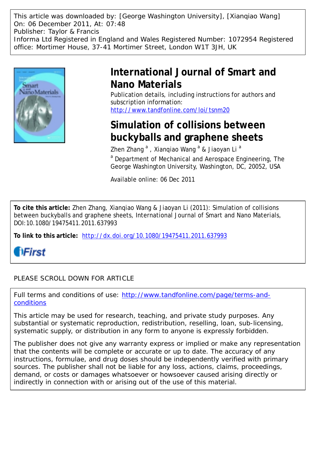This article was downloaded by: [George Washington University], [Xianqiao Wang] On: 06 December 2011, At: 07:48 Publisher: Taylor & Francis Informa Ltd Registered in England and Wales Registered Number: 1072954 Registered office: Mortimer House, 37-41 Mortimer Street, London W1T 3JH, UK



# **International Journal of Smart and Nano Materials**

Publication details, including instructions for authors and subscription information: <http://www.tandfonline.com/loi/tsnm20>

# **Simulation of collisions between buckyballs and graphene sheets**

Zhen Zhang<sup>a</sup>, Xianqiao Wang<sup>a</sup> & Jiaoyan Li<sup>a</sup>

<sup>a</sup> Department of Mechanical and Aerospace Engineering, The George Washington University, Washington, DC, 20052, USA

Available online: 06 Dec 2011

**To cite this article:** Zhen Zhang, Xianqiao Wang & Jiaoyan Li (2011): Simulation of collisions between buckyballs and graphene sheets, International Journal of Smart and Nano Materials, DOI:10.1080/19475411.2011.637993

**To link to this article:** <http://dx.doi.org/10.1080/19475411.2011.637993>

**fiFirst** 

PLEASE SCROLL DOWN FOR ARTICLE

Full terms and conditions of use: [http://www.tandfonline.com/page/terms-and](http://www.tandfonline.com/page/terms-and-conditions)[conditions](http://www.tandfonline.com/page/terms-and-conditions)

This article may be used for research, teaching, and private study purposes. Any substantial or systematic reproduction, redistribution, reselling, loan, sub-licensing, systematic supply, or distribution in any form to anyone is expressly forbidden.

The publisher does not give any warranty express or implied or make any representation that the contents will be complete or accurate or up to date. The accuracy of any instructions, formulae, and drug doses should be independently verified with primary sources. The publisher shall not be liable for any loss, actions, claims, proceedings, demand, or costs or damages whatsoever or howsoever caused arising directly or indirectly in connection with or arising out of the use of this material.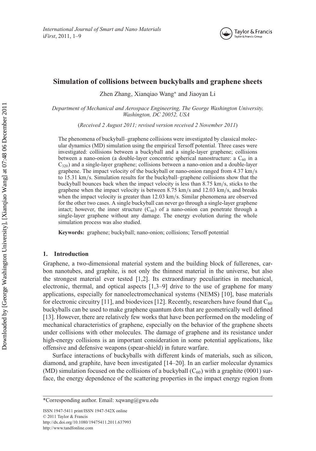

# **Simulation of collisions between buckyballs and graphene sheets**

Zhen Zhang, Xianqiao Wang<sup>∗</sup> and Jiaoyan Li

*Department of Mechanical and Aerospace Engineering, The George Washington University, Washington, DC 20052, USA*

(*Received 2 August 2011; revised version received 2 November 2011*)

The phenomena of buckyball–graphene collisions were investigated by classical molecular dynamics (MD) simulation using the empirical Tersoff potential. Three cases were investigated: collisions between a buckyball and a single-layer graphene; collisions between a nano-onion (a double-layer concentric spherical nanostructure: a  $C_{60}$  in a  $C_{320}$ ) and a single-layer graphene; collisions between a nano-onion and a double-layer graphene. The impact velocity of the buckyball or nano-onion ranged from 4.37 km/s to 15.31 km/s. Simulation results for the buckyball–graphene collisions show that the buckyball bounces back when the impact velocity is less than 8.75 km/s, sticks to the graphene when the impact velocity is between 8.75 km/s and 12.03 km/s, and breaks when the impact velocity is greater than 12.03 km/s. Similar phenomena are observed for the other two cases. A single buckyball can never go through a single-layer graphene intact; however, the inner structure  $(C_{60})$  of a nano-onion can penetrate through a single-layer graphene without any damage. The energy evolution during the whole simulation process was also studied.

**Keywords:** graphene; buckyball; nano-onion; collisions; Tersoff potential

## **1. Introduction**

Graphene, a two-dimensional material system and the building block of fullerenes, carbon nanotubes, and graphite, is not only the thinnest material in the universe, but also the strongest material ever tested [1,2]. Its extraordinary peculiarities in mechanical, electronic, thermal, and optical aspects [1,3–9] drive to the use of graphene for many applications, especially for nanoelectromechanical systems (NEMS) [10], base materials for electronic circuitry [11], and biodevices [12]. Recently, researchers have found that  $C_{60}$ buckyballs can be used to make graphene quantum dots that are geometrically well defined [13]. However, there are relatively few works that have been performed on the modeling of mechanical characteristics of graphene, especially on the behavior of the graphene sheets under collisions with other molecules. The damage of graphene and its resistance under high-energy collisions is an important consideration in some potential applications, like offensive and defensive weapons (spear-shield) in future warfare.

Surface interactions of buckyballs with different kinds of materials, such as silicon, diamond, and graphite, have been investigated [14–20]. In an earlier molecular dynamics (MD) simulation focused on the collisions of a buckyball  $(C_{60})$  with a graphite (0001) surface, the energy dependence of the scattering properties in the impact energy region from

ISSN 1947-5411 print/ISSN 1947-542X online © 2011 Taylor & Francis <http://dx.doi.org/10.1080/19475411.2011.637993> <http://www.tandfonline.com>

<sup>\*</sup>Corresponding author. Email: [xqwang@gwu.edu](mailto:xqwang@gwu.edu)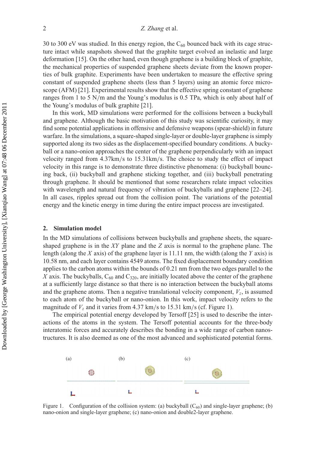30 to 300 eV was studied. In this energy region, the  $C_{60}$  bounced back with its cage structure intact while snapshots showed that the graphite target evolved an inelastic and large deformation [15]. On the other hand, even though graphene is a building block of graphite, the mechanical properties of suspended graphene sheets deviate from the known properties of bulk graphite. Experiments have been undertaken to measure the effective spring constant of suspended graphene sheets (less than 5 layers) using an atomic force microscope (AFM) [21]. Experimental results show that the effective spring constant of graphene ranges from 1 to 5 N/m and the Young's modulus is 0.5 TPa, which is only about half of the Young's modulus of bulk graphite [21].

In this work, MD simulations were performed for the collisions between a buckyball and graphene. Although the basic motivation of this study was scientific curiosity, it may find some potential applications in offensive and defensive weapons (spear-shield) in future warfare. In the simulations, a square-shaped single-layer or double-layer graphene is simply supported along its two sides as the displacement-specified boundary conditions. A buckyball or a nano-onion approaches the center of the graphene perpendicularly with an impact velocity ranged from 4.37km/s to 15.31km/s. The choice to study the effect of impact velocity in this range is to demonstrate three distinctive phenomena: (i) buckyball bouncing back, (ii) buckyball and graphene sticking together, and (iii) buckyball penetrating through graphene. It should be mentioned that some researchers relate impact velocities with wavelength and natural frequency of vibration of buckyballs and graphene [22–24]. In all cases, ripples spread out from the collision point. The variations of the potential energy and the kinetic energy in time during the entire impact process are investigated.

#### **2. Simulation model**

In the MD simulations of collisions between buckyballs and graphene sheets, the squareshaped graphene is in the *XY* plane and the *Z* axis is normal to the graphene plane. The length (along the *X* axis) of the graphene layer is 11.11 nm, the width (along the *Y* axis) is 10.58 nm, and each layer contains 4549 atoms. The fixed displacement boundary condition applies to the carbon atoms within the bounds of 0.21 nm from the two edges parallel to the  $X$  axis. The buckyballs,  $C_{60}$  and  $C_{320}$ , are initially located above the center of the graphene at a sufficiently large distance so that there is no interaction between the buckyball atoms and the graphene atoms. Then a negative translational velocity component,  $V_z$ , is assumed to each atom of the buckyball or nano-onion. In this work, impact velocity refers to the magnitude of  $V_z$  and it varies from 4.37 km/s to 15.31 km/s (cf. Figure 1).

The empirical potential energy developed by Tersoff [25] is used to describe the interactions of the atoms in the system. The Tersoff potential accounts for the three-body interatomic forces and accurately describes the bonding in a wide range of carbon nanostructures. It is also deemed as one of the most advanced and sophisticated potential forms.



Figure 1. Configuration of the collision system: (a) buckyball  $(C_{60})$  and single-layer graphene; (b) nano-onion and single-layer graphene; (c) nano-onion and double2-layer graphene.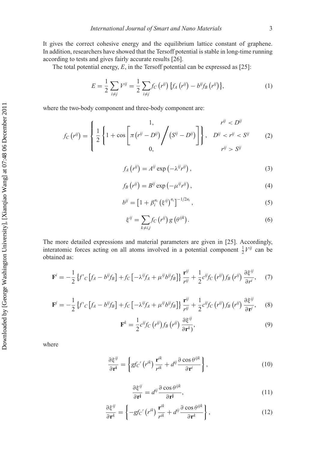It gives the correct cohesive energy and the equilibrium lattice constant of graphene. In addition, researchers have showed that the Tersoff potential is stable in long-time running according to tests and gives fairly accurate results [26].

The total potential energy, *E*, in the Tersoff potential can be expressed as [25]:

$$
E = \frac{1}{2} \sum_{i \neq j} V^{ij} = \frac{1}{2} \sum_{i \neq j} f_C (r^{ij}) \{ f_A (r^{ij}) - b^{ij} f_B (r^{ij}) \},\tag{1}
$$

where the two-body component and three-body component are:

$$
f_C(r^{ij}) = \begin{cases} \frac{1}{2} \left\{ 1 + \cos \left[ \pi (r^{ij} - D^{ij}) \middle/ (S^{ij} - D^{ij}) \right] \right\}, & D^{ij} < r^{ij} < S^{ij} \\ 0, & r^{ij} > S^{ij} \end{cases} \tag{2}
$$

$$
f_A(r^{ij}) = A^{ij} \exp\left(-\lambda^{ij} r^{ij}\right),\tag{3}
$$

$$
f_B(r^{ij}) = B^{ij} \exp\left(-\mu^{ij}r^{ij}\right),\tag{4}
$$

$$
b^{ij} = \left[1 + \beta_i^{n_i} \left(\xi^{ij}\right)^{n_i}\right]^{-1/2n_i},\tag{5}
$$

$$
\xi^{ij} = \sum_{k \neq i,j} f_C(r^{ij}) g\left(\theta^{ijk}\right). \tag{6}
$$

The more detailed expressions and material parameters are given in [25]. Accordingly, interatomic forces acting on all atoms involved in a potential component  $\frac{1}{2}V^{ij}$  can be obtained as:

$$
\mathbf{F}^{i} = -\frac{1}{2} \left\{ f'_{C} \left[ f_{A} - b^{ij} f_{B} \right] + f_{C} \left[ -\lambda^{ij} f_{A} + \mu^{ij} b^{ij} f_{B} \right] \right\} \frac{\mathbf{r}^{ij}}{r^{ij}} + \frac{1}{2} c^{ij} f_{C} \left( r^{ij} \right) f_{B} \left( r^{ij} \right) \frac{\partial \xi^{ij}}{\partial r^{i}}, \quad (7)
$$

$$
\mathbf{F}^{j} = -\frac{1}{2} \left\{ f^{'}c \left[ f_A - b^{ij} f_B \right] + f_C \left[ -\lambda^{ij} f_A + \mu^{ij} b^{ij} f_B \right] \right\} \frac{\mathbf{r}^{ij}}{r^{ij}} + \frac{1}{2} c^{ij} f_C \left( r^{ij} \right) f_B \left( r^{ij} \right) \frac{\partial \xi^{ij}}{\partial \mathbf{r}^{j}}, \tag{8}
$$

$$
\mathbf{F}^{k} = \frac{1}{2} c^{ij} f_C \left( r^{ij} \right) f_B \left( r^{ij} \right) \frac{\partial \xi^{ij}}{\partial \mathbf{r}^{k}},\tag{9}
$$

where

$$
\frac{\partial \xi^{ij}}{\partial \mathbf{r}^i} = \left\{ g f c' \left( r^{ik} \right) \frac{\mathbf{r}^{ik}}{r^{ik}} + d^{ij} \frac{\partial \cos \theta^{ijk}}{\partial \mathbf{r}^i} \right\},\tag{10}
$$

$$
\frac{\partial \xi^{ij}}{\partial \mathbf{r}^j} = d^{ij} \frac{\partial \cos \theta^{ijk}}{\partial \mathbf{r}^j},\tag{11}
$$

$$
\frac{\partial \xi^{ij}}{\partial \mathbf{r}^k} = \left\{ -gf_C' \left( r^{ik} \right) \frac{\mathbf{r}^{ik}}{r^{ik}} + d^{ij} \frac{\partial \cos \theta^{ijk}}{\partial \mathbf{r}^k} \right\},\tag{12}
$$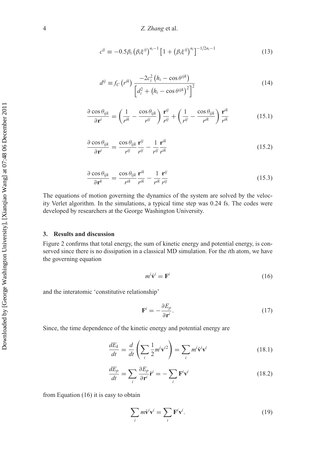$$
c^{ij} \equiv -0.5 \beta_i \left( \beta_i \xi^{ij} \right)^{n_i - 1} \left[ 1 + \left( \beta_i \xi^{ij} \right)^{n_i} \right]^{-1/2n_i - 1} \tag{13}
$$

$$
d^{ij} \equiv f_C \left( r^{ik} \right) \frac{-2c_i^2 \left( h_i - \cos \theta^{ijk} \right)}{\left[ d_i^2 + \left( h_i - \cos \theta^{ijk} \right)^2 \right]^2}
$$
(14)

$$
\frac{\partial \cos \theta_{ijk}}{\partial \mathbf{r}^i} = \left(\frac{1}{r^{ik}} - \frac{\cos \theta_{ijk}}{r^{ij}}\right) \frac{\mathbf{r}^{ij}}{r^{ij}} + \left(\frac{1}{r^{ij}} - \frac{\cos \theta_{ijk}}{r^{ik}}\right) \frac{\mathbf{r}^{ik}}{r^{ik}}
$$
(15.1)

$$
\frac{\partial \cos \theta_{ijk}}{\partial \mathbf{r}^j} = \frac{\cos \theta_{ijk}}{r^{ij}} \frac{\mathbf{r}^{ij}}{r^{ij}} - \frac{1}{r^{ij}} \frac{\mathbf{r}^{ik}}{r^{ik}}
$$
(15.2)

$$
\frac{\partial \cos \theta_{ijk}}{\partial \mathbf{r}^k} = \frac{\cos \theta_{ijk}}{r^{ik}} \frac{\mathbf{r}^{ik}}{r^{ik}} - \frac{1}{r^{ik}} \frac{\mathbf{r}^{ij}}{r^{ij}}
$$
(15.3)

The equations of motion governing the dynamics of the system are solved by the velocity Verlet algorithm. In the simulations, a typical time step was 0.24 fs. The codes were developed by researchers at the George Washington University.

# **3. Results and discussion**

Figure 2 confirms that total energy, the sum of kinetic energy and potential energy, is conserved since there is no dissipation in a classical MD simulation. For the *i*th atom, we have the governing equation

$$
m^i \dot{\mathbf{v}}^i = \mathbf{F}^i \tag{16}
$$

and the interatomic 'constitutive relationship'

$$
\mathbf{F}^i = -\frac{\partial E_p}{\partial \mathbf{r}^i}.\tag{17}
$$

Since, the time dependence of the kinetic energy and potential energy are

$$
\frac{dE_k}{dt} = \frac{d}{dt} \left( \sum_i \frac{1}{2} m^i \mathbf{v}^{i2} \right) = \sum_i m^i \mathbf{v}^i \mathbf{v}^i \tag{18.1}
$$

$$
\frac{dE_p}{dt} = \sum_i \frac{\partial E_p}{\partial \mathbf{r}^i} \dot{\mathbf{r}}^i = -\sum_i \mathbf{F}^i \mathbf{v}^i
$$
\n(18.2)

from Equation (16) it is easy to obtain

$$
\sum_{i} m \dot{\mathbf{v}}^{i} \mathbf{v}^{i} = \sum_{i} \mathbf{F}^{i} \mathbf{v}^{i}.
$$
 (19)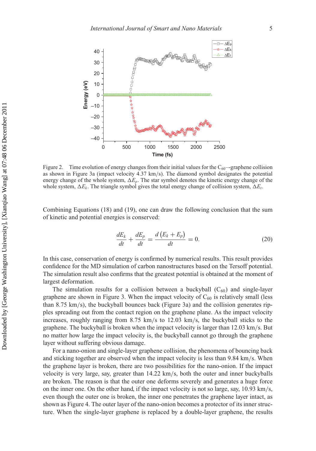

Figure 2. Time evolution of energy changes from their initial values for the  $C_{60}$ -graphene collision as shown in Figure 3a (impact velocity 4.37 km/s). The diamond symbol designates the potential energy change of the whole system,  $\Delta E_p$ . The star symbol denotes the kinetic energy change of the whole system,  $\Delta E_k$ . The triangle symbol gives the total energy change of collision system,  $\Delta E_t$ .

Combining Equations (18) and (19), one can draw the following conclusion that the sum of kinetic and potential energies is conserved:

$$
\frac{dE_k}{dt} + \frac{dE_p}{dt} = \frac{d\left(E_k + E_p\right)}{dt} = 0.
$$
\n(20)

In this case, conservation of energy is confirmed by numerical results. This result provides confidence for the MD simulation of carbon nanostructures based on the Tersoff potential. The simulation result also confirms that the greatest potential is obtained at the moment of largest deformation.

The simulation results for a collision between a buckyball  $(C_{60})$  and single-layer graphene are shown in Figure 3. When the impact velocity of  $C_{60}$  is relatively small (less than 8.75 km/s), the buckyball bounces back (Figure 3a) and the collision generates ripples spreading out from the contact region on the graphene plane. As the impact velocity increases, roughly ranging from 8.75 km/s to 12.03 km/s, the buckyball sticks to the graphene. The buckyball is broken when the impact velocity is larger than 12.03 km/s. But no matter how large the impact velocity is, the buckyball cannot go through the graphene layer without suffering obvious damage.

For a nano-onion and single-layer graphene collision, the phenomena of bouncing back and sticking together are observed when the impact velocity is less than 9.84 km/s. When the graphene layer is broken, there are two possibilities for the nano-onion. If the impact velocity is very large, say, greater than 14.22 km/s, both the outer and inner buckyballs are broken. The reason is that the outer one deforms severely and generates a huge force on the inner one. On the other hand, if the impact velocity is not so large, say, 10.93 km/s, even though the outer one is broken, the inner one penetrates the graphene layer intact, as shown as Figure 4. The outer layer of the nano-onion becomes a protector of its inner structure. When the single-layer graphene is replaced by a double-layer graphene, the results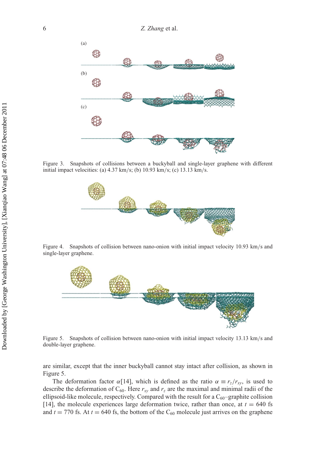

Figure 3. Snapshots of collisions between a buckyball and single-layer graphene with different initial impact velocities: (a) 4.37 km/s; (b) 10.93 km/s; (c) 13.13 km/s.



Figure 4. Snapshots of collision between nano-onion with initial impact velocity 10.93 km/s and single-layer graphene.



Figure 5. Snapshots of collision between nano-onion with initial impact velocity 13.13 km/s and double-layer graphene.

are similar, except that the inner buckyball cannot stay intact after collision, as shown in Figure 5.

The deformation factor  $\alpha$ [14], which is defined as the ratio  $\alpha \equiv r_z/r_{xy}$ , is used to describe the deformation of  $C_{60}$ . Here  $r_{xy}$  and  $r_z$  are the maximal and minimal radii of the ellipsoid-like molecule, respectively. Compared with the result for a  $C_{60}$ -graphite collision [14], the molecule experiences large deformation twice, rather than once, at  $t = 640$  fs and  $t = 770$  fs. At  $t = 640$  fs, the bottom of the C<sub>60</sub> molecule just arrives on the graphene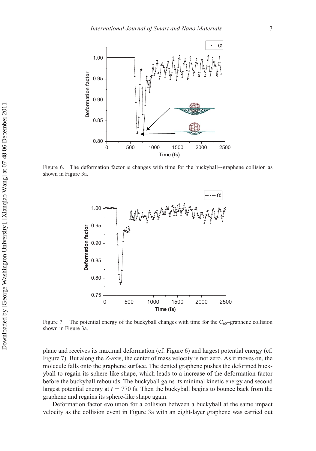

Figure 6. The deformation factor  $\alpha$  changes with time for the buckyball—graphene collision as shown in Figure 3a.



Figure 7. The potential energy of the buckyball changes with time for the  $C_{60}$ –graphene collision shown in Figure 3a.

plane and receives its maximal deformation (cf. Figure 6) and largest potential energy (cf. Figure 7). But along the *Z*-axis, the center of mass velocity is not zero. As it moves on, the molecule falls onto the graphene surface. The dented graphene pushes the deformed buckyball to regain its sphere-like shape, which leads to a increase of the deformation factor before the buckyball rebounds. The buckyball gains its minimal kinetic energy and second largest potential energy at  $t = 770$  fs. Then the buckyball begins to bounce back from the graphene and regains its sphere-like shape again.

Deformation factor evolution for a collision between a buckyball at the same impact velocity as the collision event in Figure 3a with an eight-layer graphene was carried out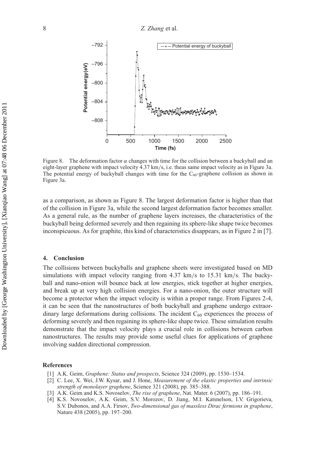

Figure 8. The deformation factor  $\alpha$  changes with time for the collision between a buckyball and an eight-layer graphene with impact velocity 4.37 km/s, i.e. theas same impact velocity as in Figure 3a. The potential energy of buckyball changes with time for the  $C_{60}$ -graphene collision as shown in Figure 3a.

as a comparison, as shown as Figure 8. The largest deformation factor is higher than that of the collision in Figure 3a, while the second largest deformation factor becomes smaller. As a general rule, as the number of graphene layers increases, the characteristics of the buckyball being deformed severely and then regaining its sphere-like shape twice becomes inconspicuous. As for graphite, this kind of characteristics disappears, as in Figure 2 in [7].

### **4. Conclusion**

The collisions between buckyballs and graphene sheets were investigated based on MD simulations with impact velocity ranging from 4.37 km/s to 15.31 km/s. The buckyball and nano-onion will bounce back at low energies, stick together at higher energies, and break up at very high collision energies. For a nano-onion, the outer structure will become a protector when the impact velocity is within a proper range. From Figures 2-4, it can be seen that the nanostructures of both buckyball and graphene undergo extraordinary large deformations during collisions. The incident  $C_{60}$  experiences the process of deforming severely and then regaining its sphere-like shape twice. These simulation results demonstrate that the impact velocity plays a crucial role in collisions between carbon nanostructures. The results may provide some useful clues for applications of graphene involving sudden directional compression.

## **References**

- [1] A.K. Geim, *Graphene: Status and prospects*, Science 324 (2009), pp. 1530–1534.
- [2] C. Lee, X. Wei, J.W. Kysar, and J. Hone, *Measurement of the elastic properties and intrinsic strength of monolayer graphene*, Science 321 (2008), pp. 385–388.
- [3] A.K. Geim and K.S. Novoselov, *The rise of graphene*, Nat. Mater. 6 (2007), pp. 186–191.
- [4] K.S. Novoselov, A.K. Geim, S.V. Morozov, D. Jiang, M.I. Katsnelson, I.V. Grigorieva, S.V. Dubonos, and A.A. Firsov, *Two-dimensional gas of massless Dirac fermions in graphene*, Nature 438 (2005), pp. 197–200.